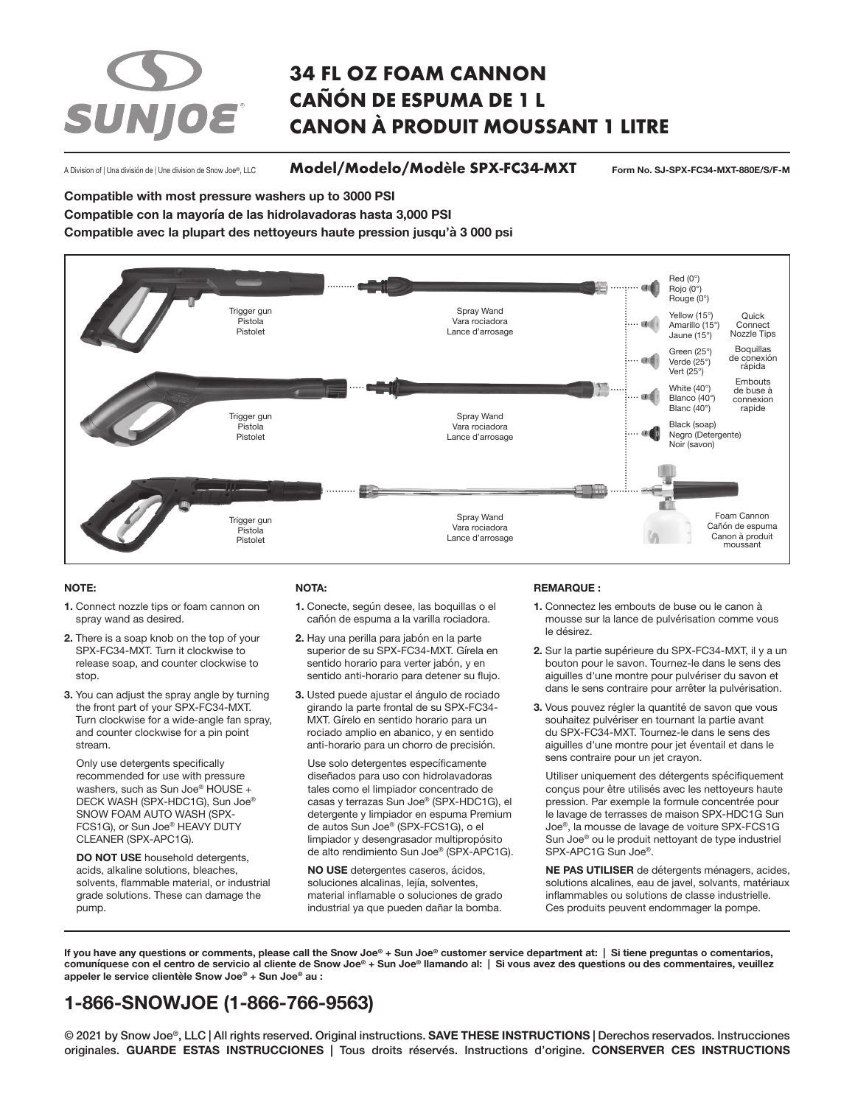# SUNJOE®

# **34 FL OZ FOAM CANNON CAÑÓN DE ESPUMA DE 1 L CANON À PRODUIT MOUSSANT 1 LITRE**

A Division of | Una división de | Une division de Snow Joe®, LLC

**Model/Modelo/Modèle SPX-FC34-MXT Form No. SJ-SPX-FC34-MXT-880E/S/F-M**

**Compatible with most pressure washers up to 3000 PSI**

**Compatible con la mayoría de las hidrolavadoras hasta 3,000 PSI** 

**Compatible avec la plupart des nettoyeurs haute pression jusqu'à 3 000 psi**



#### **NOTE:**

- **1.** Connect nozzle tips or foam cannon on spray wand as desired.
- **2.** There is a soap knob on the top of your SPX-FC34-MXT. Turn it clockwise to release soap, and counter clockwise to stop.
- **3.** You can adjust the spray angle by turning the front part of your SPX-FC34-MXT. Turn clockwise for a wide-angle fan spray, and counter clockwise for a pin point stream.

Only use detergents specifically recommended for use with pressure washers, such as Sun Joe® HOUSE + DECK WASH (SPX-HDC1G), Sun Joe® SNOW FOAM AUTO WASH (SPX-FCS1G), or Sun Joe® HEAVY DUTY CLEANER (SPX-APC1G).

**DO NOT USE** household detergents, acids, alkaline solutions, bleaches, solvents, flammable material, or industrial grade solutions. These can damage the pump.

#### **NOTA:**

- **1.** Conecte, según desee, las boquillas o el cañón de espuma a la varilla rociadora.
- **2.** Hay una perilla para jabón en la parte superior de su SPX-FC34-MXT. Gírela en sentido horario para verter jabón, y en sentido anti-horario para detener su flujo.
- **3.** Usted puede ajustar el ángulo de rociado girando la parte frontal de su SPX-FC34- MXT. Gírelo en sentido horario para un rociado amplio en abanico, y en sentido anti-horario para un chorro de precisión.

Use solo detergentes específicamente diseñados para uso con hidrolavadoras tales como el limpiador concentrado de casas y terrazas Sun Joe® (SPX-HDC1G), el detergente y limpiador en espuma Premium de autos Sun Joe® (SPX-FCS1G), o el limpiador y desengrasador multipropósito de alto rendimiento Sun Joe® (SPX-APC1G).

**NO USE** detergentes caseros, ácidos, soluciones alcalinas, lejía, solventes, material inflamable o soluciones de grado industrial ya que pueden dañar la bomba.

#### **REMARQUE :**

- **1.** Connectez les embouts de buse ou le canon à mousse sur la lance de pulvérisation comme vous le désirez.
- **2.** Sur la partie supérieure du SPX-FC34-MXT, il y a un bouton pour le savon. Tournez-le dans le sens des aiguilles d'une montre pour pulvériser du savon et dans le sens contraire pour arrêter la pulvérisation.
- **3.** Vous pouvez régler la quantité de savon que vous souhaitez pulvériser en tournant la partie avant du SPX-FC34-MXT. Tournez-le dans le sens des aiguilles d'une montre pour jet éventail et dans le sens contraire pour un jet crayon.

Utiliser uniquement des détergents spécifiquement conçus pour être utilisés avec les nettoyeurs haute pression. Par exemple la formule concentrée pour le lavage de terrasses de maison SPX-HDC1G Sun Joe®, la mousse de lavage de voiture SPX-FCS1G Sun Joe® ou le produit nettoyant de type industriel SPX-APC1G Sun Joe®.

**NE PAS UTILISER** de détergents ménagers, acides, solutions alcalines, eau de javel, solvants, matériaux inflammables ou solutions de classe industrielle. Ces produits peuvent endommager la pompe.

**If you have any questions or comments, please call the Snow Joe® + Sun Joe® customer service department at: | Si tiene preguntas o comentarios, comuníquese con el centro de servicio al cliente de Snow Joe® + Sun Joe® llamando al: | Si vous avez des questions ou des commentaires, veuillez appeler le service clientèle Snow Joe® + Sun Joe® au :**

# **1-866-SNOWJOE (1-866-766-9563)**

© 2021 by Snow Joe®, LLC | All rights reserved. Original instructions. **SAVE THESE INSTRUCTIONS |** Derechos reservados. Instrucciones originales. **GUARDE ESTAS INSTRUCCIONES |** Tous droits réservés. Instructions d'origine. **CONSERVER CES INSTRUCTIONS**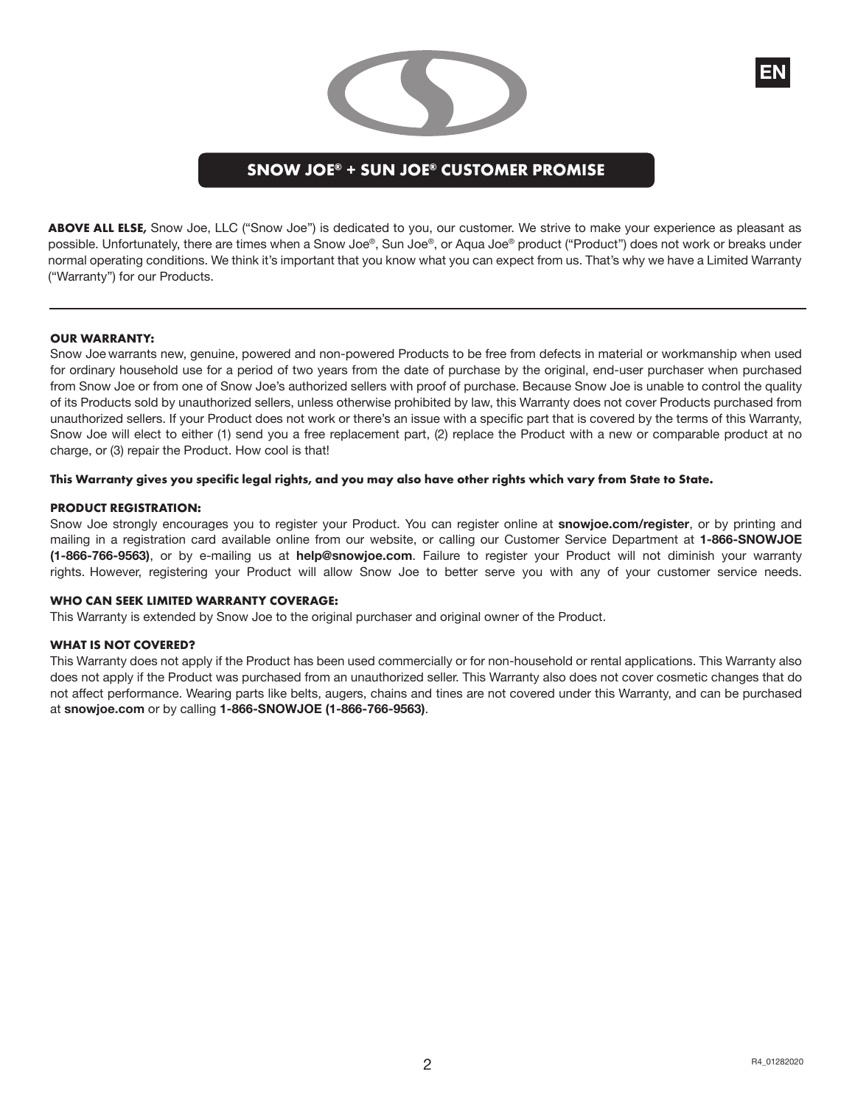## **SNOW JOE® + SUN JOE® CUSTOMER PROMISE**

**ABOVE ALL ELSE,** Snow Joe, LLC ("Snow Joe") is dedicated to you, our customer. We strive to make your experience as pleasant as possible. Unfortunately, there are times when a Snow Joe®, Sun Joe®, or Aqua Joe® product ("Product") does not work or breaks under normal operating conditions. We think it's important that you know what you can expect from us. That's why we have a Limited Warranty ("Warranty") for our Products.

#### **OUR WARRANTY:**

Snow Joe warrants new, genuine, powered and non-powered Products to be free from defects in material or workmanship when used for ordinary household use for a period of two years from the date of purchase by the original, end-user purchaser when purchased from Snow Joe or from one of Snow Joe's authorized sellers with proof of purchase. Because Snow Joe is unable to control the quality of its Products sold by unauthorized sellers, unless otherwise prohibited by law, this Warranty does not cover Products purchased from unauthorized sellers. If your Product does not work or there's an issue with a specific part that is covered by the terms of this Warranty, Snow Joe will elect to either (1) send you a free replacement part, (2) replace the Product with a new or comparable product at no charge, or (3) repair the Product. How cool is that!

#### **This Warranty gives you specific legal rights, and you may also have other rights which vary from State to State.**

#### **PRODUCT REGISTRATION:**

Snow Joe strongly encourages you to register your Product. You can register online at **snowjoe.com/register**, or by printing and mailing in a registration card available online from our website, or calling our Customer Service Department at **1-866-SNOWJOE (1-866-766-9563)**, or by e-mailing us at **help@snowjoe.com**. Failure to register your Product will not diminish your warranty rights. However, registering your Product will allow Snow Joe to better serve you with any of your customer service needs.

#### **WHO CAN SEEK LIMITED WARRANTY COVERAGE:**

This Warranty is extended by Snow Joe to the original purchaser and original owner of the Product.

#### **WHAT IS NOT COVERED?**

This Warranty does not apply if the Product has been used commercially or for non-household or rental applications. This Warranty also does not apply if the Product was purchased from an unauthorized seller. This Warranty also does not cover cosmetic changes that do not affect performance. Wearing parts like belts, augers, chains and tines are not covered under this Warranty, and can be purchased at **snowjoe.com** or by calling **1-866-SNOWJOE (1-866-766-9563)**.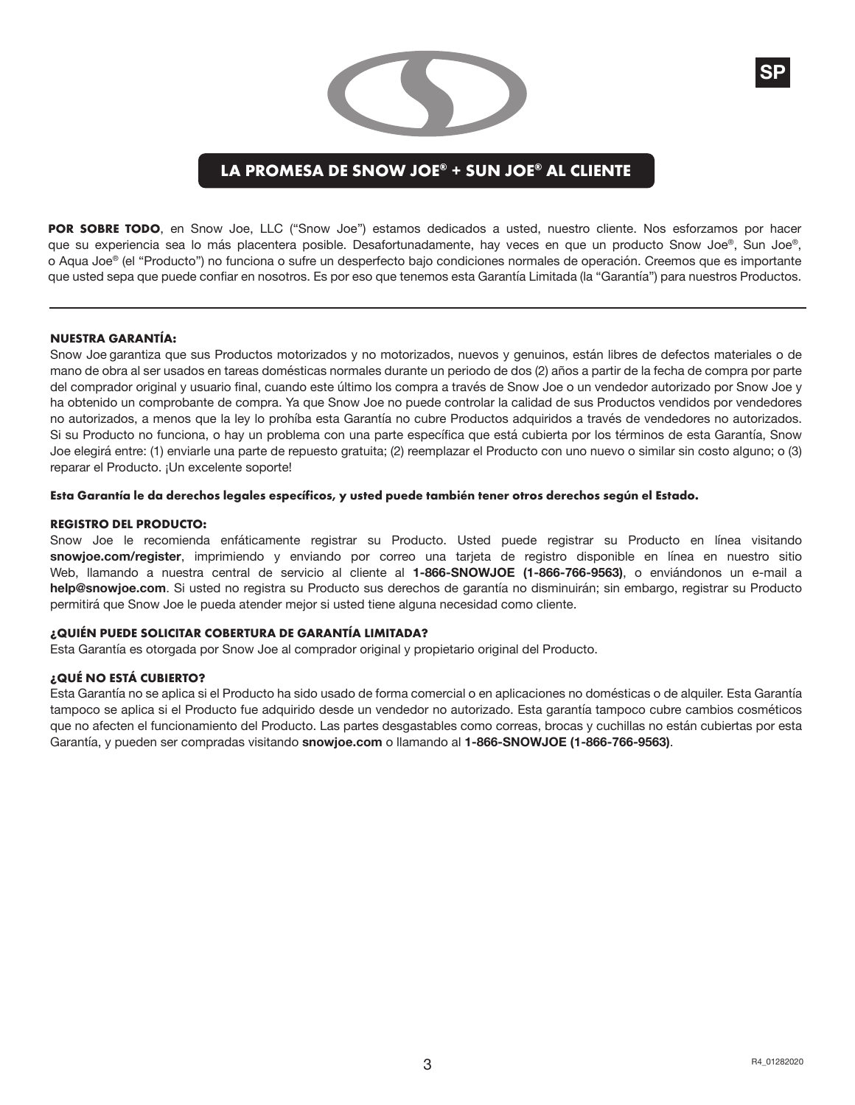

## **LA PROMESA DE SNOW JOE® + SUN JOE® AL CLIENTE**

POR SOBRE TODO, en Snow Joe, LLC ("Snow Joe") estamos dedicados a usted, nuestro cliente. Nos esforzamos por hacer que su experiencia sea lo más placentera posible. Desafortunadamente, hay veces en que un producto Snow Joe®, Sun Joe®, o Aqua Joe® (el "Producto") no funciona o sufre un desperfecto bajo condiciones normales de operación. Creemos que es importante que usted sepa que puede confiar en nosotros. Es por eso que tenemos esta Garantía Limitada (la "Garantía") para nuestros Productos.

#### **NUESTRA GARANTÍA:**

Snow Joe garantiza que sus Productos motorizados y no motorizados, nuevos y genuinos, están libres de defectos materiales o de mano de obra al ser usados en tareas domésticas normales durante un periodo de dos (2) años a partir de la fecha de compra por parte del comprador original y usuario final, cuando este último los compra a través de Snow Joe o un vendedor autorizado por Snow Joe y ha obtenido un comprobante de compra. Ya que Snow Joe no puede controlar la calidad de sus Productos vendidos por vendedores no autorizados, a menos que la ley lo prohíba esta Garantía no cubre Productos adquiridos a través de vendedores no autorizados. Si su Producto no funciona, o hay un problema con una parte específica que está cubierta por los términos de esta Garantía, Snow Joe elegirá entre: (1) enviarle una parte de repuesto gratuita; (2) reemplazar el Producto con uno nuevo o similar sin costo alguno; o (3) reparar el Producto. ¡Un excelente soporte!

#### **Esta Garantía le da derechos legales específicos, y usted puede también tener otros derechos según el Estado.**

#### **REGISTRO DEL PRODUCTO:**

Snow Joe le recomienda enfáticamente registrar su Producto. Usted puede registrar su Producto en línea visitando **snowjoe.com/register**, imprimiendo y enviando por correo una tarjeta de registro disponible en línea en nuestro sitio Web, llamando a nuestra central de servicio al cliente al **1-866-SNOWJOE (1-866-766-9563)**, o enviándonos un e-mail a **help@snowjoe.com**. Si usted no registra su Producto sus derechos de garantía no disminuirán; sin embargo, registrar su Producto permitirá que Snow Joe le pueda atender mejor si usted tiene alguna necesidad como cliente.

#### **¿QUIÉN PUEDE SOLICITAR COBERTURA DE GARANTÍA LIMITADA?**

Esta Garantía es otorgada por Snow Joe al comprador original y propietario original del Producto.

#### **¿QUÉ NO ESTÁ CUBIERTO?**

Esta Garantía no se aplica si el Producto ha sido usado de forma comercial o en aplicaciones no domésticas o de alquiler. Esta Garantía tampoco se aplica si el Producto fue adquirido desde un vendedor no autorizado. Esta garantía tampoco cubre cambios cosméticos que no afecten el funcionamiento del Producto. Las partes desgastables como correas, brocas y cuchillas no están cubiertas por esta Garantía, y pueden ser compradas visitando **snowjoe.com** o llamando al **1-866-SNOWJOE (1-866-766-9563)**.